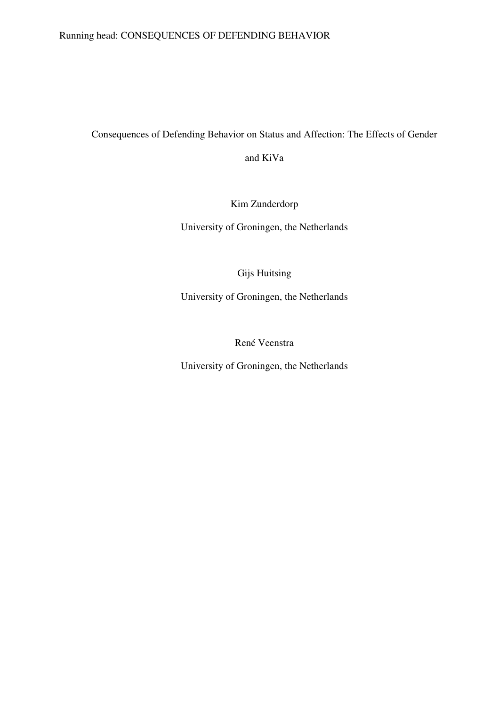# Running head: CONSEQUENCES OF DEFENDING BEHAVIOR

Consequences of Defending Behavior on Status and Affection: The Effects of Gender

and KiVa

Kim Zunderdorp

University of Groningen, the Netherlands

Gijs Huitsing

University of Groningen, the Netherlands

René Veenstra

University of Groningen, the Netherlands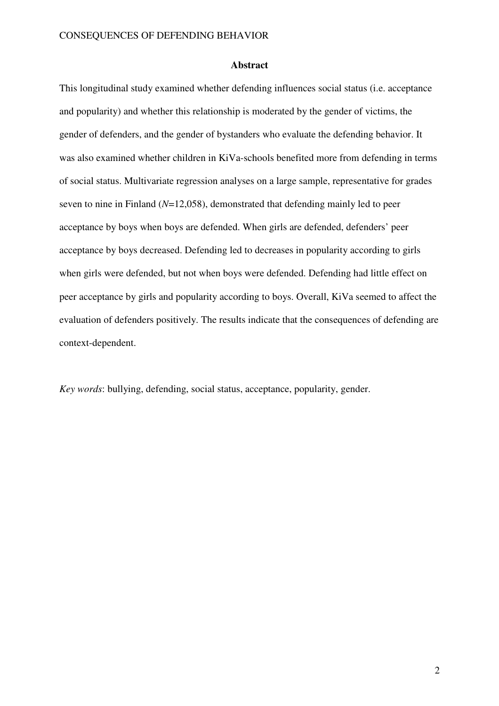#### **Abstract**

This longitudinal study examined whether defending influences social status (i.e. acceptance and popularity) and whether this relationship is moderated by the gender of victims, the gender of defenders, and the gender of bystanders who evaluate the defending behavior. It was also examined whether children in KiVa-schools benefited more from defending in terms of social status. Multivariate regression analyses on a large sample, representative for grades seven to nine in Finland (*N*=12,058), demonstrated that defending mainly led to peer acceptance by boys when boys are defended. When girls are defended, defenders' peer acceptance by boys decreased. Defending led to decreases in popularity according to girls when girls were defended, but not when boys were defended. Defending had little effect on peer acceptance by girls and popularity according to boys. Overall, KiVa seemed to affect the evaluation of defenders positively. The results indicate that the consequences of defending are context-dependent.

*Key words*: bullying, defending, social status, acceptance, popularity, gender.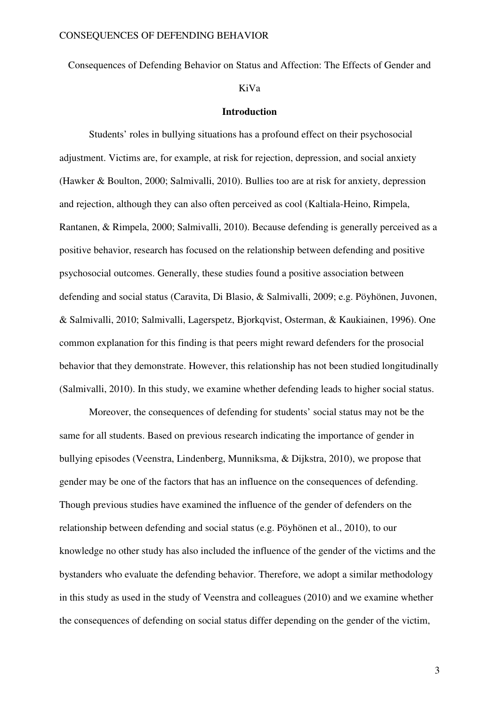Consequences of Defending Behavior on Status and Affection: The Effects of Gender and

# KiVa

#### **Introduction**

Students' roles in bullying situations has a profound effect on their psychosocial adjustment. Victims are, for example, at risk for rejection, depression, and social anxiety (Hawker & Boulton, 2000; Salmivalli, 2010). Bullies too are at risk for anxiety, depression and rejection, although they can also often perceived as cool (Kaltiala-Heino, Rimpela, Rantanen, & Rimpela, 2000; Salmivalli, 2010). Because defending is generally perceived as a positive behavior, research has focused on the relationship between defending and positive psychosocial outcomes. Generally, these studies found a positive association between defending and social status (Caravita, Di Blasio, & Salmivalli, 2009; e.g. Pöyhönen, Juvonen, & Salmivalli, 2010; Salmivalli, Lagerspetz, Bjorkqvist, Osterman, & Kaukiainen, 1996). One common explanation for this finding is that peers might reward defenders for the prosocial behavior that they demonstrate. However, this relationship has not been studied longitudinally (Salmivalli, 2010). In this study, we examine whether defending leads to higher social status.

Moreover, the consequences of defending for students' social status may not be the same for all students. Based on previous research indicating the importance of gender in bullying episodes (Veenstra, Lindenberg, Munniksma, & Dijkstra, 2010), we propose that gender may be one of the factors that has an influence on the consequences of defending. Though previous studies have examined the influence of the gender of defenders on the relationship between defending and social status (e.g. Pöyhönen et al., 2010), to our knowledge no other study has also included the influence of the gender of the victims and the bystanders who evaluate the defending behavior. Therefore, we adopt a similar methodology in this study as used in the study of Veenstra and colleagues (2010) and we examine whether the consequences of defending on social status differ depending on the gender of the victim,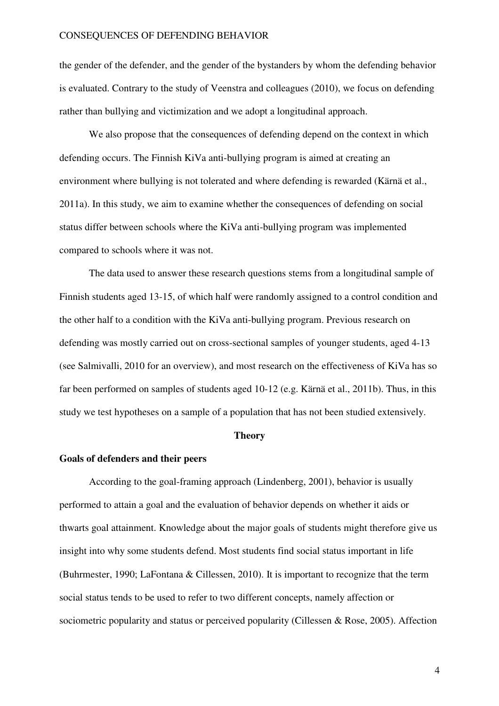the gender of the defender, and the gender of the bystanders by whom the defending behavior is evaluated. Contrary to the study of Veenstra and colleagues (2010), we focus on defending rather than bullying and victimization and we adopt a longitudinal approach.

We also propose that the consequences of defending depend on the context in which defending occurs. The Finnish KiVa anti-bullying program is aimed at creating an environment where bullying is not tolerated and where defending is rewarded (Kärnä et al., 2011a). In this study, we aim to examine whether the consequences of defending on social status differ between schools where the KiVa anti-bullying program was implemented compared to schools where it was not.

The data used to answer these research questions stems from a longitudinal sample of Finnish students aged 13-15, of which half were randomly assigned to a control condition and the other half to a condition with the KiVa anti-bullying program. Previous research on defending was mostly carried out on cross-sectional samples of younger students, aged 4-13 (see Salmivalli, 2010 for an overview), and most research on the effectiveness of KiVa has so far been performed on samples of students aged 10-12 (e.g. Kärnä et al., 2011b). Thus, in this study we test hypotheses on a sample of a population that has not been studied extensively.

### **Theory**

#### **Goals of defenders and their peers**

According to the goal-framing approach (Lindenberg, 2001), behavior is usually performed to attain a goal and the evaluation of behavior depends on whether it aids or thwarts goal attainment. Knowledge about the major goals of students might therefore give us insight into why some students defend. Most students find social status important in life (Buhrmester, 1990; LaFontana & Cillessen, 2010). It is important to recognize that the term social status tends to be used to refer to two different concepts, namely affection or sociometric popularity and status or perceived popularity (Cillessen & Rose, 2005). Affection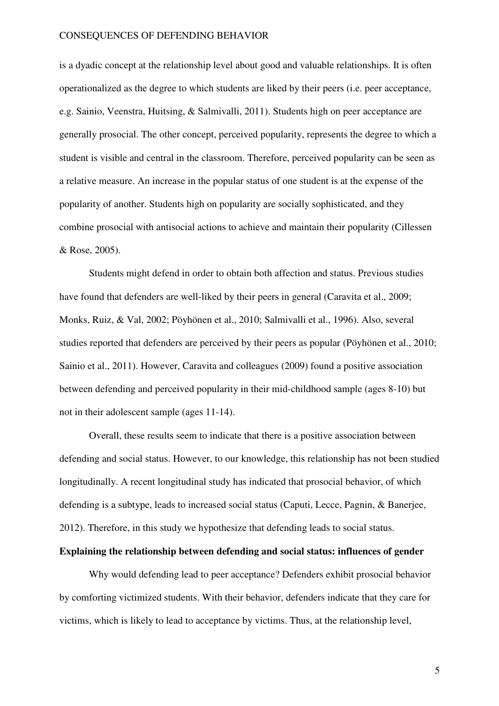is a dyadic concept at the relationship level about good and valuable relationships. It is often operationalized as the degree to which students are liked by their peers (i.e. peer acceptance, e.g. Sainio, Veenstra, Huitsing, & Salmivalli, 2011). Students high on peer acceptance are generally prosocial. The other concept, perceived popularity, represents the degree to which a student is visible and central in the classroom. Therefore, perceived popularity can be seen as a relative measure. An increase in the popular status of one student is at the expense of the popularity of another. Students high on popularity are socially sophisticated, and they combine prosocial with antisocial actions to achieve and maintain their popularity (Cillessen & Rose, 2005).

Students might defend in order to obtain both affection and status. Previous studies have found that defenders are well-liked by their peers in general (Caravita et al., 2009; Monks, Ruiz, & Val, 2002; Pöyhönen et al., 2010; Salmivalli et al., 1996). Also, several studies reported that defenders are perceived by their peers as popular (Pöyhönen et al., 2010; Sainio et al., 2011). However, Caravita and colleagues (2009) found a positive association between defending and perceived popularity in their mid-childhood sample (ages 8-10) but not in their adolescent sample (ages 11-14).

Overall, these results seem to indicate that there is a positive association between defending and social status. However, to our knowledge, this relationship has not been studied longitudinally. A recent longitudinal study has indicated that prosocial behavior, of which defending is a subtype, leads to increased social status (Caputi, Lecce, Pagnin, & Banerjee, 2012). Therefore, in this study we hypothesize that defending leads to social status.

# **Explaining the relationship between defending and social status: influences of gender**

Why would defending lead to peer acceptance? Defenders exhibit prosocial behavior by comforting victimized students. With their behavior, defenders indicate that they care for victims, which is likely to lead to acceptance by victims. Thus, at the relationship level,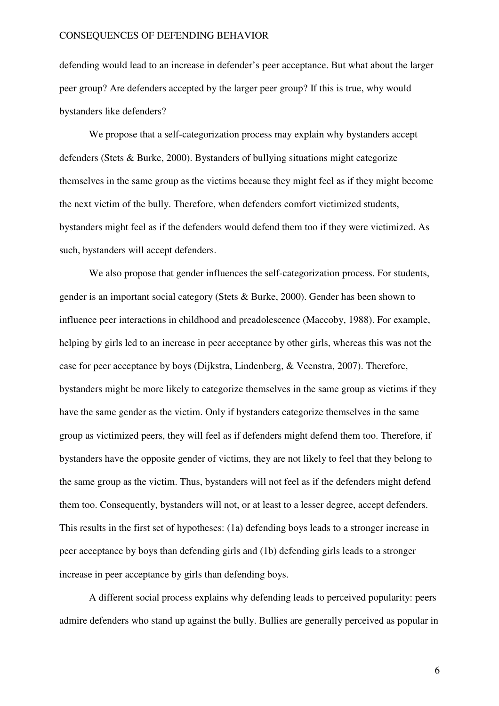defending would lead to an increase in defender's peer acceptance. But what about the larger peer group? Are defenders accepted by the larger peer group? If this is true, why would bystanders like defenders?

We propose that a self-categorization process may explain why bystanders accept defenders (Stets & Burke, 2000). Bystanders of bullying situations might categorize themselves in the same group as the victims because they might feel as if they might become the next victim of the bully. Therefore, when defenders comfort victimized students, bystanders might feel as if the defenders would defend them too if they were victimized. As such, bystanders will accept defenders.

We also propose that gender influences the self-categorization process. For students, gender is an important social category (Stets & Burke, 2000). Gender has been shown to influence peer interactions in childhood and preadolescence (Maccoby, 1988). For example, helping by girls led to an increase in peer acceptance by other girls, whereas this was not the case for peer acceptance by boys (Dijkstra, Lindenberg, & Veenstra, 2007). Therefore, bystanders might be more likely to categorize themselves in the same group as victims if they have the same gender as the victim. Only if bystanders categorize themselves in the same group as victimized peers, they will feel as if defenders might defend them too. Therefore, if bystanders have the opposite gender of victims, they are not likely to feel that they belong to the same group as the victim. Thus, bystanders will not feel as if the defenders might defend them too. Consequently, bystanders will not, or at least to a lesser degree, accept defenders. This results in the first set of hypotheses: (1a) defending boys leads to a stronger increase in peer acceptance by boys than defending girls and (1b) defending girls leads to a stronger increase in peer acceptance by girls than defending boys.

A different social process explains why defending leads to perceived popularity: peers admire defenders who stand up against the bully. Bullies are generally perceived as popular in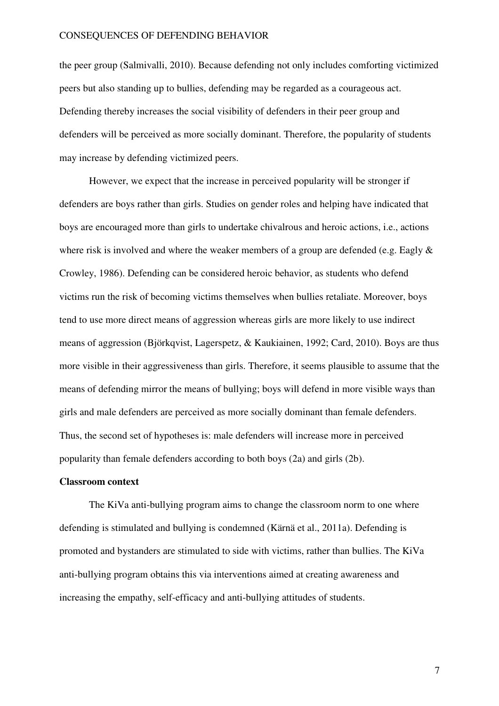the peer group (Salmivalli, 2010). Because defending not only includes comforting victimized peers but also standing up to bullies, defending may be regarded as a courageous act. Defending thereby increases the social visibility of defenders in their peer group and defenders will be perceived as more socially dominant. Therefore, the popularity of students may increase by defending victimized peers.

However, we expect that the increase in perceived popularity will be stronger if defenders are boys rather than girls. Studies on gender roles and helping have indicated that boys are encouraged more than girls to undertake chivalrous and heroic actions, i.e., actions where risk is involved and where the weaker members of a group are defended (e.g. Eagly  $\&$ Crowley, 1986). Defending can be considered heroic behavior, as students who defend victims run the risk of becoming victims themselves when bullies retaliate. Moreover, boys tend to use more direct means of aggression whereas girls are more likely to use indirect means of aggression (Björkqvist, Lagerspetz, & Kaukiainen, 1992; Card, 2010). Boys are thus more visible in their aggressiveness than girls. Therefore, it seems plausible to assume that the means of defending mirror the means of bullying; boys will defend in more visible ways than girls and male defenders are perceived as more socially dominant than female defenders. Thus, the second set of hypotheses is: male defenders will increase more in perceived popularity than female defenders according to both boys (2a) and girls (2b).

#### **Classroom context**

The KiVa anti-bullying program aims to change the classroom norm to one where defending is stimulated and bullying is condemned (Kärnä et al., 2011a). Defending is promoted and bystanders are stimulated to side with victims, rather than bullies. The KiVa anti-bullying program obtains this via interventions aimed at creating awareness and increasing the empathy, self-efficacy and anti-bullying attitudes of students.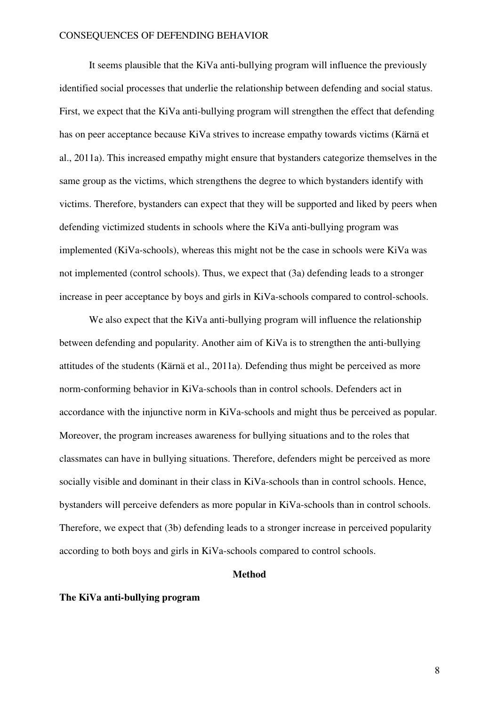It seems plausible that the KiVa anti-bullying program will influence the previously identified social processes that underlie the relationship between defending and social status. First, we expect that the KiVa anti-bullying program will strengthen the effect that defending has on peer acceptance because KiVa strives to increase empathy towards victims (Kärnä et al., 2011a). This increased empathy might ensure that bystanders categorize themselves in the same group as the victims, which strengthens the degree to which bystanders identify with victims. Therefore, bystanders can expect that they will be supported and liked by peers when defending victimized students in schools where the KiVa anti-bullying program was implemented (KiVa-schools), whereas this might not be the case in schools were KiVa was not implemented (control schools). Thus, we expect that (3a) defending leads to a stronger increase in peer acceptance by boys and girls in KiVa-schools compared to control-schools.

We also expect that the KiVa anti-bullying program will influence the relationship between defending and popularity. Another aim of KiVa is to strengthen the anti-bullying attitudes of the students (Kärnä et al., 2011a). Defending thus might be perceived as more norm-conforming behavior in KiVa-schools than in control schools. Defenders act in accordance with the injunctive norm in KiVa-schools and might thus be perceived as popular. Moreover, the program increases awareness for bullying situations and to the roles that classmates can have in bullying situations. Therefore, defenders might be perceived as more socially visible and dominant in their class in KiVa-schools than in control schools. Hence, bystanders will perceive defenders as more popular in KiVa-schools than in control schools. Therefore, we expect that (3b) defending leads to a stronger increase in perceived popularity according to both boys and girls in KiVa-schools compared to control schools.

### **Method**

### **The KiVa anti-bullying program**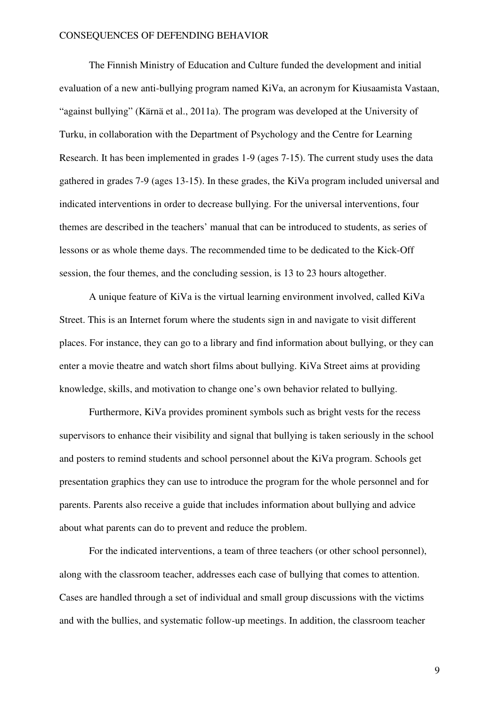The Finnish Ministry of Education and Culture funded the development and initial evaluation of a new anti-bullying program named KiVa, an acronym for Kiusaamista Vastaan, "against bullying" (Kärnä et al., 2011a). The program was developed at the University of Turku, in collaboration with the Department of Psychology and the Centre for Learning Research. It has been implemented in grades 1-9 (ages 7-15). The current study uses the data gathered in grades 7-9 (ages 13-15). In these grades, the KiVa program included universal and indicated interventions in order to decrease bullying. For the universal interventions, four themes are described in the teachers' manual that can be introduced to students, as series of lessons or as whole theme days. The recommended time to be dedicated to the Kick-Off session, the four themes, and the concluding session, is 13 to 23 hours altogether.

A unique feature of KiVa is the virtual learning environment involved, called KiVa Street. This is an Internet forum where the students sign in and navigate to visit different places. For instance, they can go to a library and find information about bullying, or they can enter a movie theatre and watch short films about bullying. KiVa Street aims at providing knowledge, skills, and motivation to change one's own behavior related to bullying.

Furthermore, KiVa provides prominent symbols such as bright vests for the recess supervisors to enhance their visibility and signal that bullying is taken seriously in the school and posters to remind students and school personnel about the KiVa program. Schools get presentation graphics they can use to introduce the program for the whole personnel and for parents. Parents also receive a guide that includes information about bullying and advice about what parents can do to prevent and reduce the problem.

For the indicated interventions, a team of three teachers (or other school personnel), along with the classroom teacher, addresses each case of bullying that comes to attention. Cases are handled through a set of individual and small group discussions with the victims and with the bullies, and systematic follow-up meetings. In addition, the classroom teacher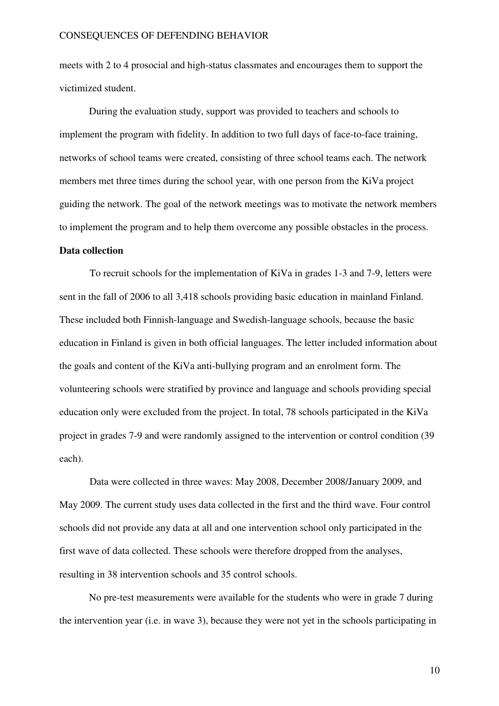meets with 2 to 4 prosocial and high-status classmates and encourages them to support the victimized student.

During the evaluation study, support was provided to teachers and schools to implement the program with fidelity. In addition to two full days of face-to-face training, networks of school teams were created, consisting of three school teams each. The network members met three times during the school year, with one person from the KiVa project guiding the network. The goal of the network meetings was to motivate the network members to implement the program and to help them overcome any possible obstacles in the process. **Data collection** 

To recruit schools for the implementation of KiVa in grades 1-3 and 7-9, letters were sent in the fall of 2006 to all 3,418 schools providing basic education in mainland Finland. These included both Finnish-language and Swedish-language schools, because the basic education in Finland is given in both official languages. The letter included information about the goals and content of the KiVa anti-bullying program and an enrolment form. The volunteering schools were stratified by province and language and schools providing special education only were excluded from the project. In total, 78 schools participated in the KiVa project in grades 7-9 and were randomly assigned to the intervention or control condition (39 each).

Data were collected in three waves: May 2008, December 2008/January 2009, and May 2009. The current study uses data collected in the first and the third wave. Four control schools did not provide any data at all and one intervention school only participated in the first wave of data collected. These schools were therefore dropped from the analyses, resulting in 38 intervention schools and 35 control schools.

No pre-test measurements were available for the students who were in grade 7 during the intervention year (i.e. in wave 3), because they were not yet in the schools participating in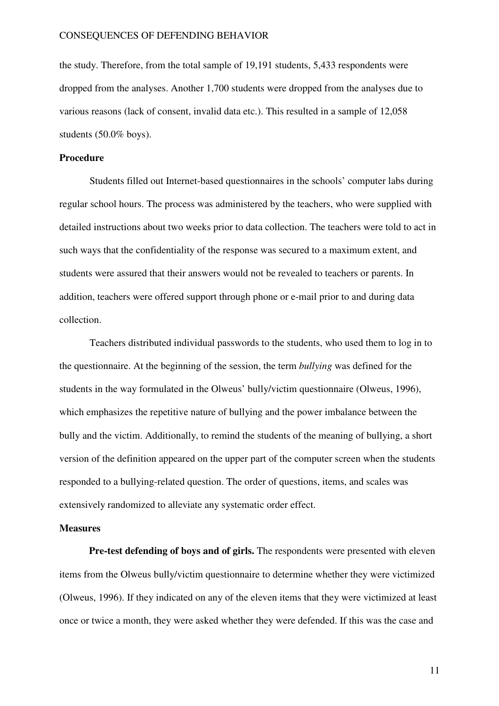the study. Therefore, from the total sample of 19,191 students, 5,433 respondents were dropped from the analyses. Another 1,700 students were dropped from the analyses due to various reasons (lack of consent, invalid data etc.). This resulted in a sample of 12,058 students (50.0% boys).

#### **Procedure**

Students filled out Internet-based questionnaires in the schools' computer labs during regular school hours. The process was administered by the teachers, who were supplied with detailed instructions about two weeks prior to data collection. The teachers were told to act in such ways that the confidentiality of the response was secured to a maximum extent, and students were assured that their answers would not be revealed to teachers or parents. In addition, teachers were offered support through phone or e-mail prior to and during data collection.

Teachers distributed individual passwords to the students, who used them to log in to the questionnaire. At the beginning of the session, the term *bullying* was defined for the students in the way formulated in the Olweus' bully/victim questionnaire (Olweus, 1996), which emphasizes the repetitive nature of bullying and the power imbalance between the bully and the victim. Additionally, to remind the students of the meaning of bullying, a short version of the definition appeared on the upper part of the computer screen when the students responded to a bullying-related question. The order of questions, items, and scales was extensively randomized to alleviate any systematic order effect.

### **Measures**

**Pre-test defending of boys and of girls.** The respondents were presented with eleven items from the Olweus bully/victim questionnaire to determine whether they were victimized (Olweus, 1996). If they indicated on any of the eleven items that they were victimized at least once or twice a month, they were asked whether they were defended. If this was the case and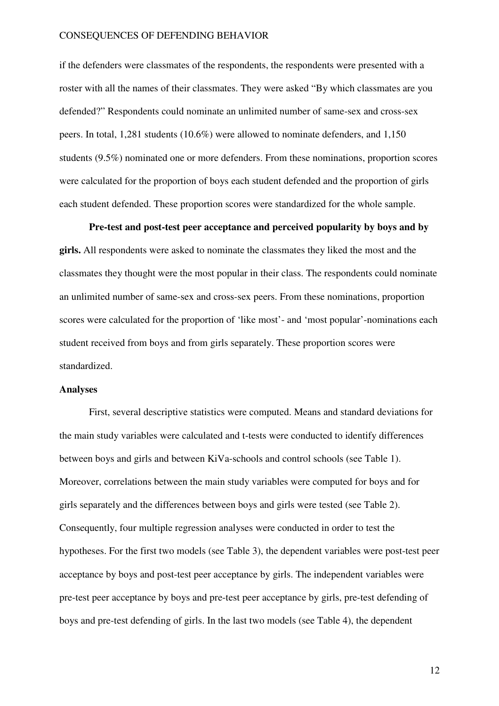if the defenders were classmates of the respondents, the respondents were presented with a roster with all the names of their classmates. They were asked "By which classmates are you defended?" Respondents could nominate an unlimited number of same-sex and cross-sex peers. In total, 1,281 students (10.6%) were allowed to nominate defenders, and 1,150 students (9.5%) nominated one or more defenders. From these nominations, proportion scores were calculated for the proportion of boys each student defended and the proportion of girls each student defended. These proportion scores were standardized for the whole sample.

**Pre-test and post-test peer acceptance and perceived popularity by boys and by girls.** All respondents were asked to nominate the classmates they liked the most and the classmates they thought were the most popular in their class. The respondents could nominate an unlimited number of same-sex and cross-sex peers. From these nominations, proportion scores were calculated for the proportion of 'like most'- and 'most popular'-nominations each student received from boys and from girls separately. These proportion scores were standardized.

# **Analyses**

First, several descriptive statistics were computed. Means and standard deviations for the main study variables were calculated and t-tests were conducted to identify differences between boys and girls and between KiVa-schools and control schools (see Table 1). Moreover, correlations between the main study variables were computed for boys and for girls separately and the differences between boys and girls were tested (see Table 2). Consequently, four multiple regression analyses were conducted in order to test the hypotheses. For the first two models (see Table 3), the dependent variables were post-test peer acceptance by boys and post-test peer acceptance by girls. The independent variables were pre-test peer acceptance by boys and pre-test peer acceptance by girls, pre-test defending of boys and pre-test defending of girls. In the last two models (see Table 4), the dependent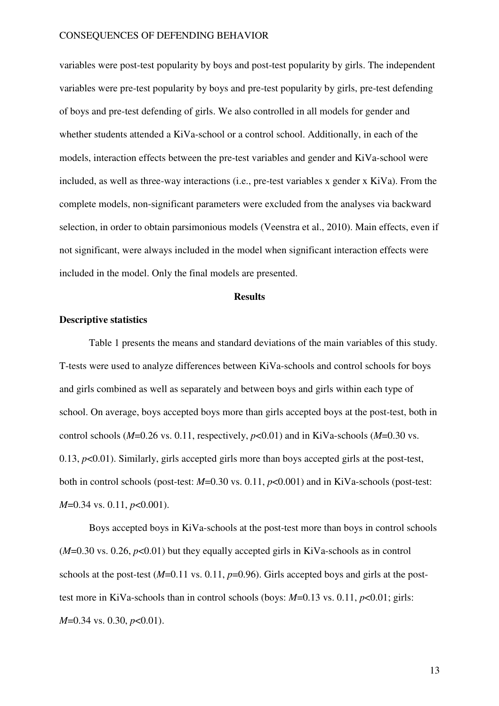variables were post-test popularity by boys and post-test popularity by girls. The independent variables were pre-test popularity by boys and pre-test popularity by girls, pre-test defending of boys and pre-test defending of girls. We also controlled in all models for gender and whether students attended a KiVa-school or a control school. Additionally, in each of the models, interaction effects between the pre-test variables and gender and KiVa-school were included, as well as three-way interactions (i.e., pre-test variables x gender x KiVa). From the complete models, non-significant parameters were excluded from the analyses via backward selection, in order to obtain parsimonious models (Veenstra et al., 2010). Main effects, even if not significant, were always included in the model when significant interaction effects were included in the model. Only the final models are presented.

#### **Results**

# **Descriptive statistics**

Table 1 presents the means and standard deviations of the main variables of this study. T-tests were used to analyze differences between KiVa-schools and control schools for boys and girls combined as well as separately and between boys and girls within each type of school. On average, boys accepted boys more than girls accepted boys at the post-test, both in control schools (*M*=0.26 vs. 0.11, respectively, *p*<0.01) and in KiVa-schools (*M*=0.30 vs. 0.13, *p*<0.01). Similarly, girls accepted girls more than boys accepted girls at the post-test, both in control schools (post-test: *M*=0.30 vs. 0.11, *p*<0.001) and in KiVa-schools (post-test: *M*=0.34 vs. 0.11, *p*<0.001).

Boys accepted boys in KiVa-schools at the post-test more than boys in control schools  $(M=0.30 \text{ vs. } 0.26, p<0.01)$  but they equally accepted girls in KiVa-schools as in control schools at the post-test  $(M=0.11 \text{ vs. } 0.11, p=0.96)$ . Girls accepted boys and girls at the posttest more in KiVa-schools than in control schools (boys: *M*=0.13 vs. 0.11, *p*<0.01; girls: *M*=0.34 vs. 0.30, *p*<0.01).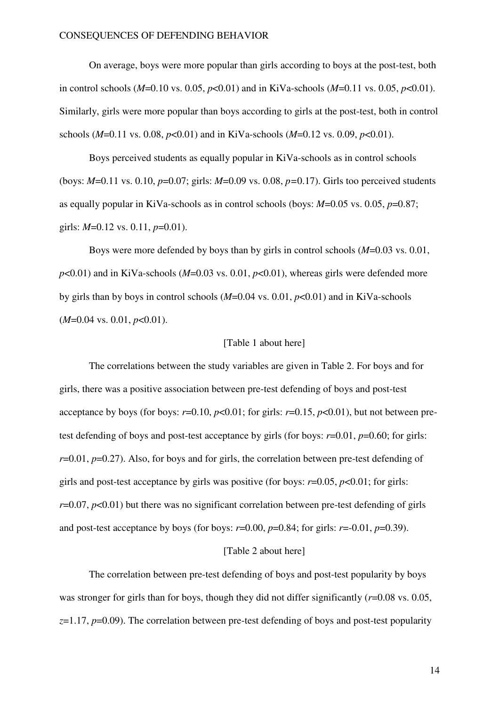On average, boys were more popular than girls according to boys at the post-test, both in control schools (*M*=0.10 vs. 0.05, *p*<0.01) and in KiVa-schools (*M*=0.11 vs. 0.05, *p*<0.01). Similarly, girls were more popular than boys according to girls at the post-test, both in control schools (*M*=0.11 vs. 0.08, *p*<0.01) and in KiVa-schools (*M*=0.12 vs. 0.09, *p*<0.01).

Boys perceived students as equally popular in KiVa-schools as in control schools (boys: *M*=0.11 vs. 0.10, *p*=0.07; girls: *M*=0.09 vs. 0.08, *p=*0.17). Girls too perceived students as equally popular in KiVa-schools as in control schools (boys: *M*=0.05 vs. 0.05, *p*=0.87; girls: *M*=0.12 vs. 0.11, *p*=0.01).

Boys were more defended by boys than by girls in control schools (*M*=0.03 vs. 0.01,  $p<0.01$ ) and in KiVa-schools ( $M=0.03$  vs. 0.01,  $p<0.01$ ), whereas girls were defended more by girls than by boys in control schools (*M*=0.04 vs. 0.01, *p*<0.01) and in KiVa-schools (*M*=0.04 vs. 0.01, *p*<0.01).

#### [Table 1 about here]

The correlations between the study variables are given in Table 2. For boys and for girls, there was a positive association between pre-test defending of boys and post-test acceptance by boys (for boys:  $r=0.10$ ,  $p<0.01$ ; for girls:  $r=0.15$ ,  $p<0.01$ ), but not between pretest defending of boys and post-test acceptance by girls (for boys: *r*=0.01, *p*=0.60; for girls: *r*=0.01, *p*=0.27). Also, for boys and for girls, the correlation between pre-test defending of girls and post-test acceptance by girls was positive (for boys: *r*=0.05, *p*<0.01; for girls: *r*=0.07, *p*<0.01) but there was no significant correlation between pre-test defending of girls and post-test acceptance by boys (for boys:  $r=0.00$ ,  $p=0.84$ ; for girls:  $r=-0.01$ ,  $p=0.39$ ).

#### [Table 2 about here]

The correlation between pre-test defending of boys and post-test popularity by boys was stronger for girls than for boys, though they did not differ significantly ( $r=0.08$  vs. 0.05,  $z=1.17$ ,  $p=0.09$ ). The correlation between pre-test defending of boys and post-test popularity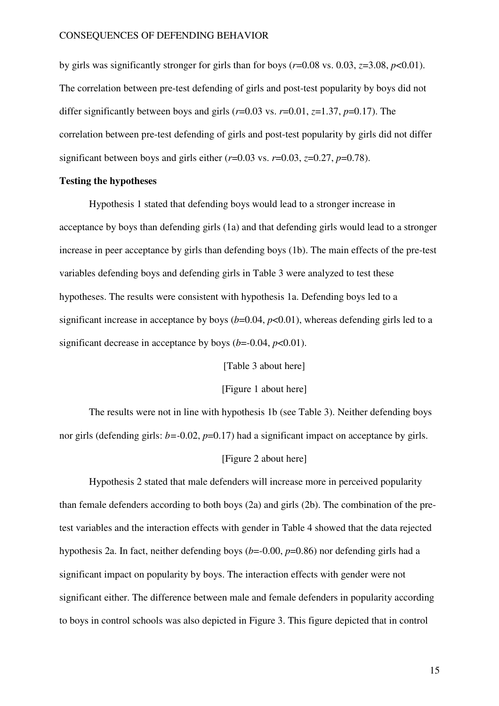by girls was significantly stronger for girls than for boys ( $r=0.08$  vs. 0.03,  $z=3.08$ ,  $p<0.01$ ). The correlation between pre-test defending of girls and post-test popularity by boys did not differ significantly between boys and girls  $(r=0.03 \text{ vs. } r=0.01, z=1.37, p=0.17)$ . The correlation between pre-test defending of girls and post-test popularity by girls did not differ significant between boys and girls either  $(r=0.03 \text{ vs. } r=0.03, z=0.27, p=0.78)$ .

### **Testing the hypotheses**

Hypothesis 1 stated that defending boys would lead to a stronger increase in acceptance by boys than defending girls (1a) and that defending girls would lead to a stronger increase in peer acceptance by girls than defending boys (1b). The main effects of the pre-test variables defending boys and defending girls in Table 3 were analyzed to test these hypotheses. The results were consistent with hypothesis 1a. Defending boys led to a significant increase in acceptance by boys  $(b=0.04, p<0.01)$ , whereas defending girls led to a significant decrease in acceptance by boys  $(b=-0.04, p<0.01)$ .

[Table 3 about here]

#### [Figure 1 about here]

The results were not in line with hypothesis 1b (see Table 3). Neither defending boys nor girls (defending girls: *b*=-0.02, *p*=0.17) had a significant impact on acceptance by girls.

#### [Figure 2 about here]

Hypothesis 2 stated that male defenders will increase more in perceived popularity than female defenders according to both boys (2a) and girls (2b). The combination of the pretest variables and the interaction effects with gender in Table 4 showed that the data rejected hypothesis 2a. In fact, neither defending boys (*b*=-0.00, *p*=0.86) nor defending girls had a significant impact on popularity by boys. The interaction effects with gender were not significant either. The difference between male and female defenders in popularity according to boys in control schools was also depicted in Figure 3. This figure depicted that in control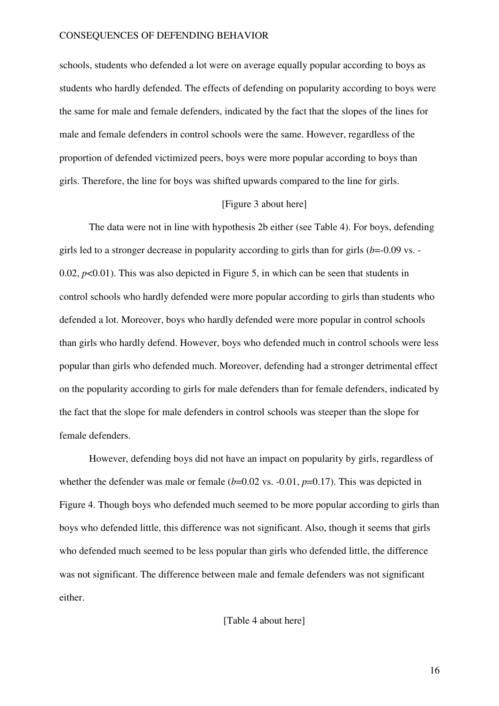schools, students who defended a lot were on average equally popular according to boys as students who hardly defended. The effects of defending on popularity according to boys were the same for male and female defenders, indicated by the fact that the slopes of the lines for male and female defenders in control schools were the same. However, regardless of the proportion of defended victimized peers, boys were more popular according to boys than girls. Therefore, the line for boys was shifted upwards compared to the line for girls.

#### [Figure 3 about here]

The data were not in line with hypothesis 2b either (see Table 4). For boys, defending girls led to a stronger decrease in popularity according to girls than for girls (*b*=-0.09 vs. - 0.02,  $p<0.01$ ). This was also depicted in Figure 5, in which can be seen that students in control schools who hardly defended were more popular according to girls than students who defended a lot. Moreover, boys who hardly defended were more popular in control schools than girls who hardly defend. However, boys who defended much in control schools were less popular than girls who defended much. Moreover, defending had a stronger detrimental effect on the popularity according to girls for male defenders than for female defenders, indicated by the fact that the slope for male defenders in control schools was steeper than the slope for female defenders.

However, defending boys did not have an impact on popularity by girls, regardless of whether the defender was male or female  $(b=0.02 \text{ vs. } -0.01, p=0.17)$ . This was depicted in Figure 4. Though boys who defended much seemed to be more popular according to girls than boys who defended little, this difference was not significant. Also, though it seems that girls who defended much seemed to be less popular than girls who defended little, the difference was not significant. The difference between male and female defenders was not significant either.

[Table 4 about here]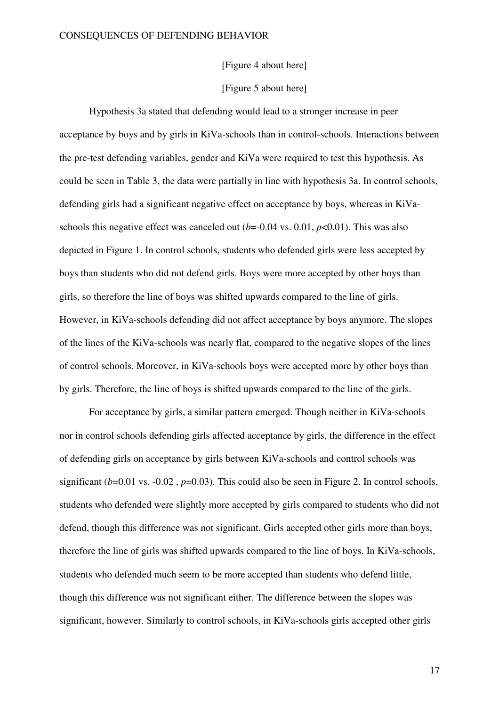[Figure 4 about here]

# [Figure 5 about here]

Hypothesis 3a stated that defending would lead to a stronger increase in peer acceptance by boys and by girls in KiVa-schools than in control-schools. Interactions between the pre-test defending variables, gender and KiVa were required to test this hypothesis. As could be seen in Table 3, the data were partially in line with hypothesis 3a. In control schools, defending girls had a significant negative effect on acceptance by boys, whereas in KiVaschools this negative effect was canceled out  $(b=0.04 \text{ vs. } 0.01, p<0.01)$ . This was also depicted in Figure 1. In control schools, students who defended girls were less accepted by boys than students who did not defend girls. Boys were more accepted by other boys than girls, so therefore the line of boys was shifted upwards compared to the line of girls. However, in KiVa-schools defending did not affect acceptance by boys anymore. The slopes of the lines of the KiVa-schools was nearly flat, compared to the negative slopes of the lines of control schools. Moreover, in KiVa-schools boys were accepted more by other boys than by girls. Therefore, the line of boys is shifted upwards compared to the line of the girls.

For acceptance by girls, a similar pattern emerged. Though neither in KiVa-schools nor in control schools defending girls affected acceptance by girls, the difference in the effect of defending girls on acceptance by girls between KiVa-schools and control schools was significant  $(b=0.01 \text{ vs. } -0.02 \text{ , } p=0.03)$ . This could also be seen in Figure 2. In control schools, students who defended were slightly more accepted by girls compared to students who did not defend, though this difference was not significant. Girls accepted other girls more than boys, therefore the line of girls was shifted upwards compared to the line of boys. In KiVa-schools, students who defended much seem to be more accepted than students who defend little, though this difference was not significant either. The difference between the slopes was significant, however. Similarly to control schools, in KiVa-schools girls accepted other girls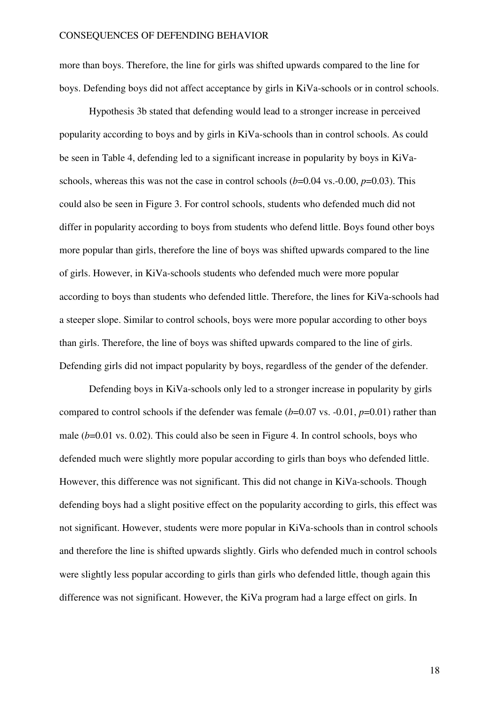more than boys. Therefore, the line for girls was shifted upwards compared to the line for boys. Defending boys did not affect acceptance by girls in KiVa-schools or in control schools.

Hypothesis 3b stated that defending would lead to a stronger increase in perceived popularity according to boys and by girls in KiVa-schools than in control schools. As could be seen in Table 4, defending led to a significant increase in popularity by boys in KiVaschools, whereas this was not the case in control schools  $(b=0.04 \text{ vs. } -0.00, p=0.03)$ . This could also be seen in Figure 3. For control schools, students who defended much did not differ in popularity according to boys from students who defend little. Boys found other boys more popular than girls, therefore the line of boys was shifted upwards compared to the line of girls. However, in KiVa-schools students who defended much were more popular according to boys than students who defended little. Therefore, the lines for KiVa-schools had a steeper slope. Similar to control schools, boys were more popular according to other boys than girls. Therefore, the line of boys was shifted upwards compared to the line of girls. Defending girls did not impact popularity by boys, regardless of the gender of the defender.

Defending boys in KiVa-schools only led to a stronger increase in popularity by girls compared to control schools if the defender was female (*b*=0.07 vs. -0.01, *p*=0.01) rather than male  $(b=0.01 \text{ vs. } 0.02)$ . This could also be seen in Figure 4. In control schools, boys who defended much were slightly more popular according to girls than boys who defended little. However, this difference was not significant. This did not change in KiVa-schools. Though defending boys had a slight positive effect on the popularity according to girls, this effect was not significant. However, students were more popular in KiVa-schools than in control schools and therefore the line is shifted upwards slightly. Girls who defended much in control schools were slightly less popular according to girls than girls who defended little, though again this difference was not significant. However, the KiVa program had a large effect on girls. In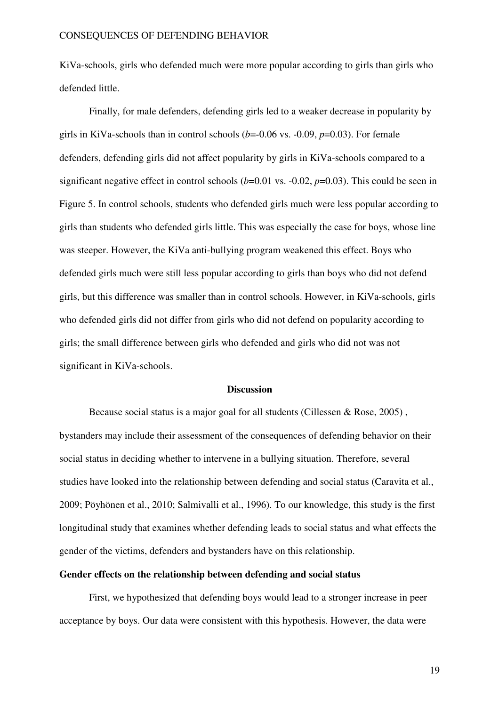KiVa-schools, girls who defended much were more popular according to girls than girls who defended little.

Finally, for male defenders, defending girls led to a weaker decrease in popularity by girls in KiVa-schools than in control schools  $(b=0.06 \text{ vs. } -0.09, p=0.03)$ . For female defenders, defending girls did not affect popularity by girls in KiVa-schools compared to a significant negative effect in control schools  $(b=0.01 \text{ vs. } -0.02, p=0.03)$ . This could be seen in Figure 5. In control schools, students who defended girls much were less popular according to girls than students who defended girls little. This was especially the case for boys, whose line was steeper. However, the KiVa anti-bullying program weakened this effect. Boys who defended girls much were still less popular according to girls than boys who did not defend girls, but this difference was smaller than in control schools. However, in KiVa-schools, girls who defended girls did not differ from girls who did not defend on popularity according to girls; the small difference between girls who defended and girls who did not was not significant in KiVa-schools.

#### **Discussion**

Because social status is a major goal for all students (Cillessen & Rose, 2005) , bystanders may include their assessment of the consequences of defending behavior on their social status in deciding whether to intervene in a bullying situation. Therefore, several studies have looked into the relationship between defending and social status (Caravita et al., 2009; Pöyhönen et al., 2010; Salmivalli et al., 1996). To our knowledge, this study is the first longitudinal study that examines whether defending leads to social status and what effects the gender of the victims, defenders and bystanders have on this relationship.

### **Gender effects on the relationship between defending and social status**

First, we hypothesized that defending boys would lead to a stronger increase in peer acceptance by boys. Our data were consistent with this hypothesis. However, the data were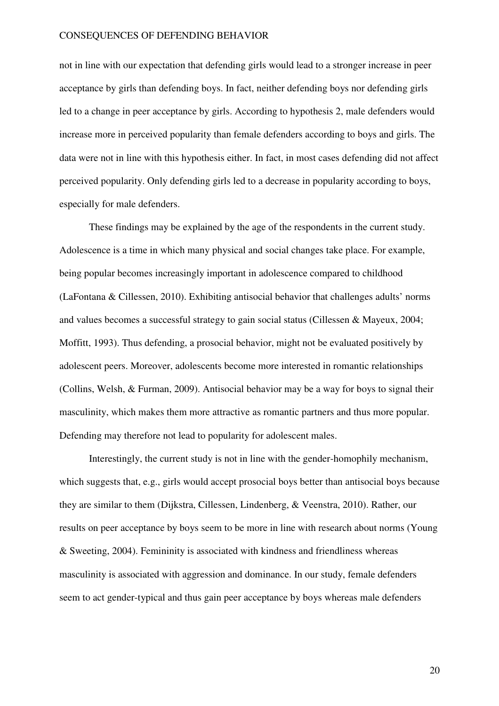not in line with our expectation that defending girls would lead to a stronger increase in peer acceptance by girls than defending boys. In fact, neither defending boys nor defending girls led to a change in peer acceptance by girls. According to hypothesis 2, male defenders would increase more in perceived popularity than female defenders according to boys and girls. The data were not in line with this hypothesis either. In fact, in most cases defending did not affect perceived popularity. Only defending girls led to a decrease in popularity according to boys, especially for male defenders.

These findings may be explained by the age of the respondents in the current study. Adolescence is a time in which many physical and social changes take place. For example, being popular becomes increasingly important in adolescence compared to childhood (LaFontana & Cillessen, 2010). Exhibiting antisocial behavior that challenges adults' norms and values becomes a successful strategy to gain social status (Cillessen & Mayeux, 2004; Moffitt, 1993). Thus defending, a prosocial behavior, might not be evaluated positively by adolescent peers. Moreover, adolescents become more interested in romantic relationships (Collins, Welsh, & Furman, 2009). Antisocial behavior may be a way for boys to signal their masculinity, which makes them more attractive as romantic partners and thus more popular. Defending may therefore not lead to popularity for adolescent males.

Interestingly, the current study is not in line with the gender-homophily mechanism, which suggests that, e.g., girls would accept prosocial boys better than antisocial boys because they are similar to them (Dijkstra, Cillessen, Lindenberg, & Veenstra, 2010). Rather, our results on peer acceptance by boys seem to be more in line with research about norms (Young & Sweeting, 2004). Femininity is associated with kindness and friendliness whereas masculinity is associated with aggression and dominance. In our study, female defenders seem to act gender-typical and thus gain peer acceptance by boys whereas male defenders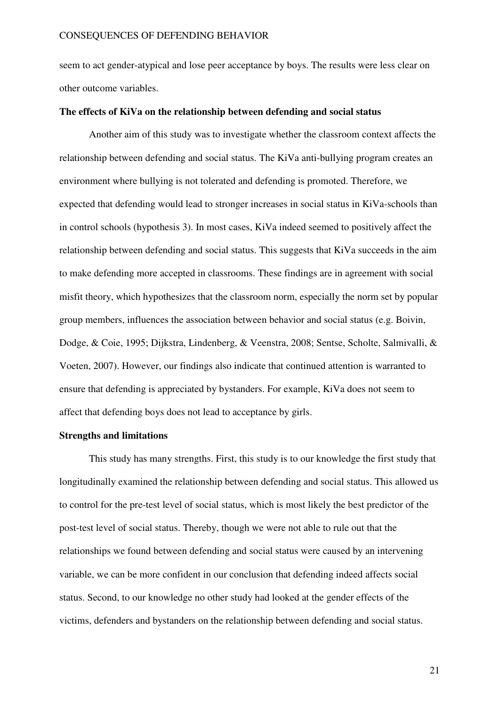seem to act gender-atypical and lose peer acceptance by boys. The results were less clear on other outcome variables.

#### **The effects of KiVa on the relationship between defending and social status**

Another aim of this study was to investigate whether the classroom context affects the relationship between defending and social status. The KiVa anti-bullying program creates an environment where bullying is not tolerated and defending is promoted. Therefore, we expected that defending would lead to stronger increases in social status in KiVa-schools than in control schools (hypothesis 3). In most cases, KiVa indeed seemed to positively affect the relationship between defending and social status. This suggests that KiVa succeeds in the aim to make defending more accepted in classrooms. These findings are in agreement with social misfit theory, which hypothesizes that the classroom norm, especially the norm set by popular group members, influences the association between behavior and social status (e.g. Boivin, Dodge, & Coie, 1995; Dijkstra, Lindenberg, & Veenstra, 2008; Sentse, Scholte, Salmivalli, & Voeten, 2007). However, our findings also indicate that continued attention is warranted to ensure that defending is appreciated by bystanders. For example, KiVa does not seem to affect that defending boys does not lead to acceptance by girls.

### **Strengths and limitations**

This study has many strengths. First, this study is to our knowledge the first study that longitudinally examined the relationship between defending and social status. This allowed us to control for the pre-test level of social status, which is most likely the best predictor of the post-test level of social status. Thereby, though we were not able to rule out that the relationships we found between defending and social status were caused by an intervening variable, we can be more confident in our conclusion that defending indeed affects social status. Second, to our knowledge no other study had looked at the gender effects of the victims, defenders and bystanders on the relationship between defending and social status.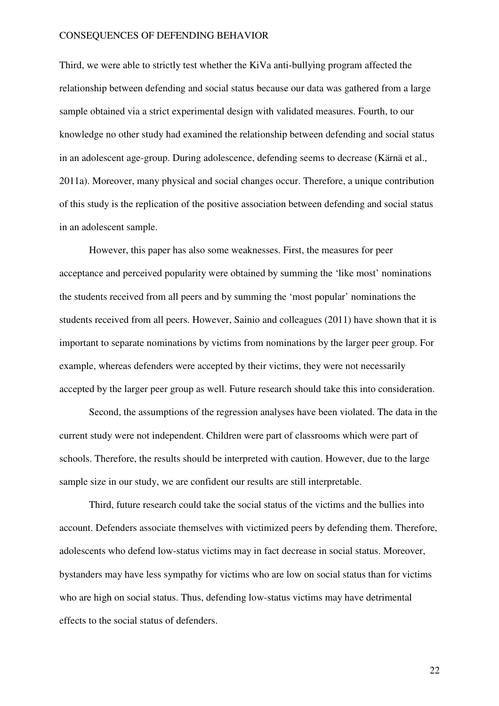Third, we were able to strictly test whether the KiVa anti-bullying program affected the relationship between defending and social status because our data was gathered from a large sample obtained via a strict experimental design with validated measures. Fourth, to our knowledge no other study had examined the relationship between defending and social status in an adolescent age-group. During adolescence, defending seems to decrease (Kärnä et al., 2011a). Moreover, many physical and social changes occur. Therefore, a unique contribution of this study is the replication of the positive association between defending and social status in an adolescent sample.

However, this paper has also some weaknesses. First, the measures for peer acceptance and perceived popularity were obtained by summing the 'like most' nominations the students received from all peers and by summing the 'most popular' nominations the students received from all peers. However, Sainio and colleagues (2011) have shown that it is important to separate nominations by victims from nominations by the larger peer group. For example, whereas defenders were accepted by their victims, they were not necessarily accepted by the larger peer group as well. Future research should take this into consideration.

Second, the assumptions of the regression analyses have been violated. The data in the current study were not independent. Children were part of classrooms which were part of schools. Therefore, the results should be interpreted with caution. However, due to the large sample size in our study, we are confident our results are still interpretable.

Third, future research could take the social status of the victims and the bullies into account. Defenders associate themselves with victimized peers by defending them. Therefore, adolescents who defend low-status victims may in fact decrease in social status. Moreover, bystanders may have less sympathy for victims who are low on social status than for victims who are high on social status. Thus, defending low-status victims may have detrimental effects to the social status of defenders.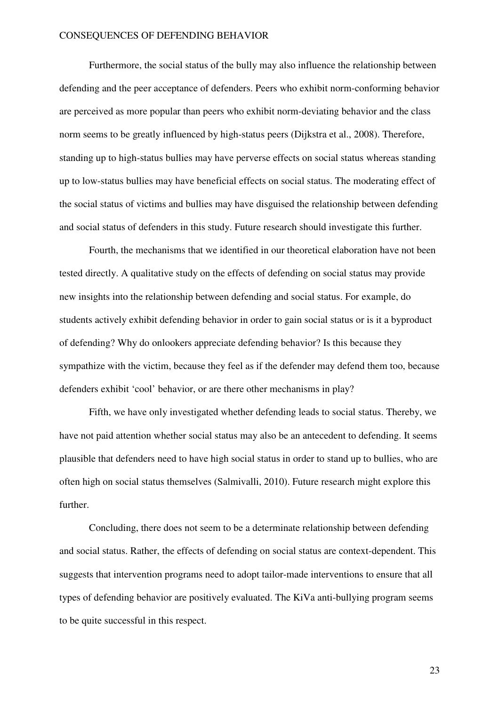Furthermore, the social status of the bully may also influence the relationship between defending and the peer acceptance of defenders. Peers who exhibit norm-conforming behavior are perceived as more popular than peers who exhibit norm-deviating behavior and the class norm seems to be greatly influenced by high-status peers (Dijkstra et al., 2008). Therefore, standing up to high-status bullies may have perverse effects on social status whereas standing up to low-status bullies may have beneficial effects on social status. The moderating effect of the social status of victims and bullies may have disguised the relationship between defending and social status of defenders in this study. Future research should investigate this further.

Fourth, the mechanisms that we identified in our theoretical elaboration have not been tested directly. A qualitative study on the effects of defending on social status may provide new insights into the relationship between defending and social status. For example, do students actively exhibit defending behavior in order to gain social status or is it a byproduct of defending? Why do onlookers appreciate defending behavior? Is this because they sympathize with the victim, because they feel as if the defender may defend them too, because defenders exhibit 'cool' behavior, or are there other mechanisms in play?

Fifth, we have only investigated whether defending leads to social status. Thereby, we have not paid attention whether social status may also be an antecedent to defending. It seems plausible that defenders need to have high social status in order to stand up to bullies, who are often high on social status themselves (Salmivalli, 2010). Future research might explore this further.

Concluding, there does not seem to be a determinate relationship between defending and social status. Rather, the effects of defending on social status are context-dependent. This suggests that intervention programs need to adopt tailor-made interventions to ensure that all types of defending behavior are positively evaluated. The KiVa anti-bullying program seems to be quite successful in this respect.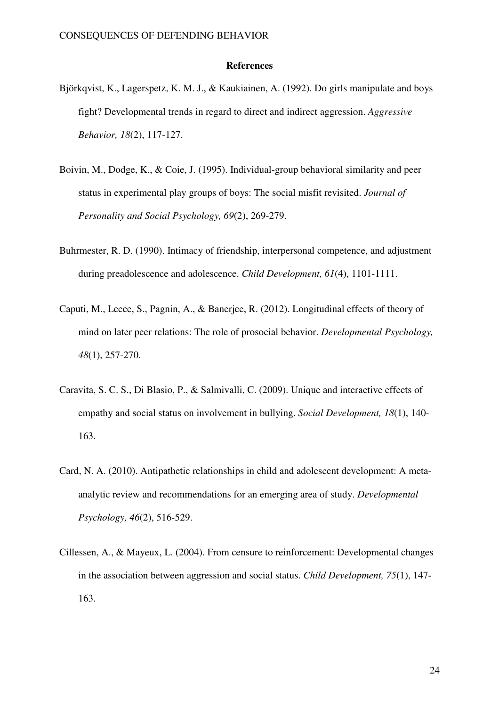#### **References**

- Björkqvist, K., Lagerspetz, K. M. J., & Kaukiainen, A. (1992). Do girls manipulate and boys fight? Developmental trends in regard to direct and indirect aggression. *Aggressive Behavior, 18*(2), 117-127.
- Boivin, M., Dodge, K., & Coie, J. (1995). Individual-group behavioral similarity and peer status in experimental play groups of boys: The social misfit revisited. *Journal of Personality and Social Psychology, 69*(2), 269-279.
- Buhrmester, R. D. (1990). Intimacy of friendship, interpersonal competence, and adjustment during preadolescence and adolescence. *Child Development, 61*(4), 1101-1111.
- Caputi, M., Lecce, S., Pagnin, A., & Banerjee, R. (2012). Longitudinal effects of theory of mind on later peer relations: The role of prosocial behavior. *Developmental Psychology, 48*(1), 257-270.
- Caravita, S. C. S., Di Blasio, P., & Salmivalli, C. (2009). Unique and interactive effects of empathy and social status on involvement in bullying. *Social Development, 18*(1), 140- 163.
- Card, N. A. (2010). Antipathetic relationships in child and adolescent development: A metaanalytic review and recommendations for an emerging area of study. *Developmental Psychology, 46*(2), 516-529.
- Cillessen, A., & Mayeux, L. (2004). From censure to reinforcement: Developmental changes in the association between aggression and social status. *Child Development, 75*(1), 147- 163.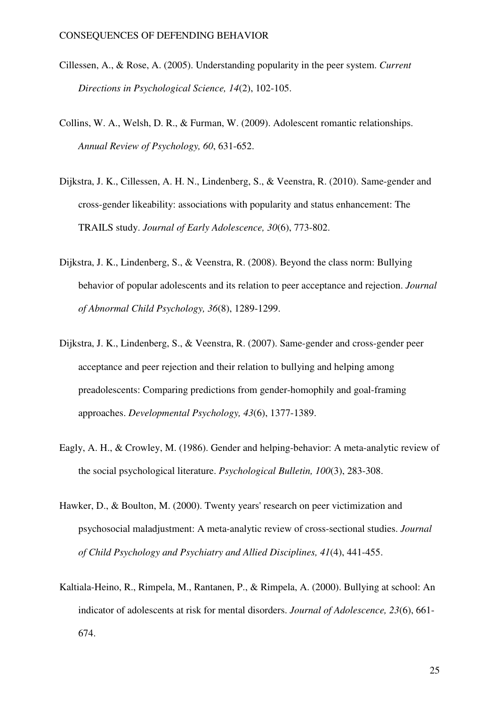- Cillessen, A., & Rose, A. (2005). Understanding popularity in the peer system. *Current Directions in Psychological Science, 14*(2), 102-105.
- Collins, W. A., Welsh, D. R., & Furman, W. (2009). Adolescent romantic relationships. *Annual Review of Psychology, 60*, 631-652.
- Dijkstra, J. K., Cillessen, A. H. N., Lindenberg, S., & Veenstra, R. (2010). Same-gender and cross-gender likeability: associations with popularity and status enhancement: The TRAILS study. *Journal of Early Adolescence, 30*(6), 773-802.
- Dijkstra, J. K., Lindenberg, S., & Veenstra, R. (2008). Beyond the class norm: Bullying behavior of popular adolescents and its relation to peer acceptance and rejection. *Journal of Abnormal Child Psychology, 36*(8), 1289-1299.
- Dijkstra, J. K., Lindenberg, S., & Veenstra, R. (2007). Same-gender and cross-gender peer acceptance and peer rejection and their relation to bullying and helping among preadolescents: Comparing predictions from gender-homophily and goal-framing approaches. *Developmental Psychology, 43*(6), 1377-1389.
- Eagly, A. H., & Crowley, M. (1986). Gender and helping-behavior: A meta-analytic review of the social psychological literature. *Psychological Bulletin, 100*(3), 283-308.
- Hawker, D., & Boulton, M. (2000). Twenty years' research on peer victimization and psychosocial maladjustment: A meta-analytic review of cross-sectional studies. *Journal of Child Psychology and Psychiatry and Allied Disciplines, 41*(4), 441-455.
- Kaltiala-Heino, R., Rimpela, M., Rantanen, P., & Rimpela, A. (2000). Bullying at school: An indicator of adolescents at risk for mental disorders. *Journal of Adolescence, 23*(6), 661- 674.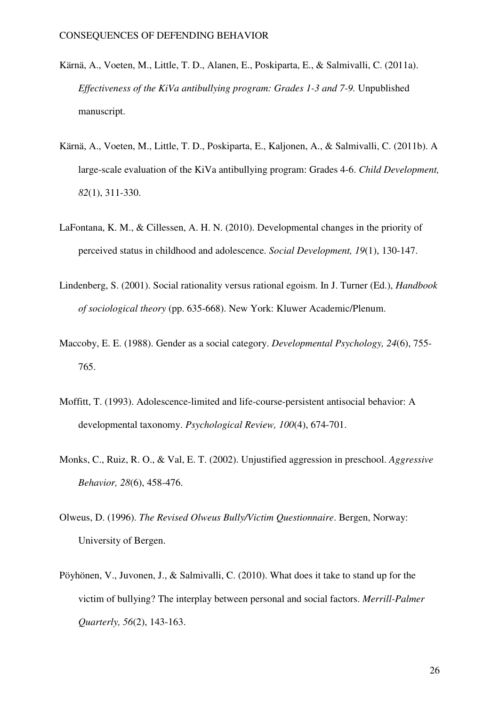- Kärnä, A., Voeten, M., Little, T. D., Alanen, E., Poskiparta, E., & Salmivalli, C. (2011a). *Effectiveness of the KiVa antibullying program: Grades 1-3 and 7-9.* Unpublished manuscript.
- Kärnä, A., Voeten, M., Little, T. D., Poskiparta, E., Kaljonen, A., & Salmivalli, C. (2011b). A large-scale evaluation of the KiVa antibullying program: Grades 4-6. *Child Development, 82*(1), 311-330.
- LaFontana, K. M., & Cillessen, A. H. N. (2010). Developmental changes in the priority of perceived status in childhood and adolescence. *Social Development, 19*(1), 130-147.
- Lindenberg, S. (2001). Social rationality versus rational egoism. In J. Turner (Ed.), *Handbook of sociological theory* (pp. 635-668). New York: Kluwer Academic/Plenum.
- Maccoby, E. E. (1988). Gender as a social category. *Developmental Psychology, 24*(6), 755- 765.
- Moffitt, T. (1993). Adolescence-limited and life-course-persistent antisocial behavior: A developmental taxonomy. *Psychological Review, 100*(4), 674-701.
- Monks, C., Ruiz, R. O., & Val, E. T. (2002). Unjustified aggression in preschool. *Aggressive Behavior, 28*(6), 458-476.
- Olweus, D. (1996). *The Revised Olweus Bully/Victim Questionnaire*. Bergen, Norway: University of Bergen.
- Pöyhönen, V., Juvonen, J., & Salmivalli, C. (2010). What does it take to stand up for the victim of bullying? The interplay between personal and social factors. *Merrill-Palmer Quarterly, 56*(2), 143-163.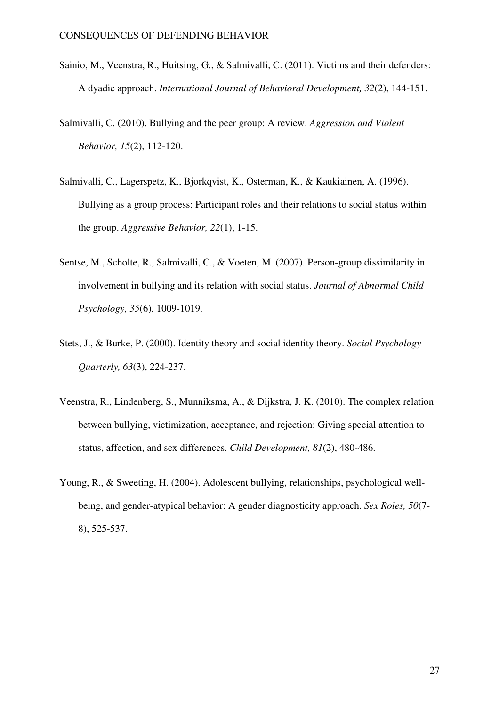- Sainio, M., Veenstra, R., Huitsing, G., & Salmivalli, C. (2011). Victims and their defenders: A dyadic approach. *International Journal of Behavioral Development, 32*(2), 144-151.
- Salmivalli, C. (2010). Bullying and the peer group: A review. *Aggression and Violent Behavior, 15*(2), 112-120.
- Salmivalli, C., Lagerspetz, K., Bjorkqvist, K., Osterman, K., & Kaukiainen, A. (1996). Bullying as a group process: Participant roles and their relations to social status within the group. *Aggressive Behavior, 22*(1), 1-15.
- Sentse, M., Scholte, R., Salmivalli, C., & Voeten, M. (2007). Person-group dissimilarity in involvement in bullying and its relation with social status. *Journal of Abnormal Child Psychology, 35*(6), 1009-1019.
- Stets, J., & Burke, P. (2000). Identity theory and social identity theory. *Social Psychology Quarterly, 63*(3), 224-237.
- Veenstra, R., Lindenberg, S., Munniksma, A., & Dijkstra, J. K. (2010). The complex relation between bullying, victimization, acceptance, and rejection: Giving special attention to status, affection, and sex differences. *Child Development, 81*(2), 480-486.
- Young, R., & Sweeting, H. (2004). Adolescent bullying, relationships, psychological wellbeing, and gender-atypical behavior: A gender diagnosticity approach. *Sex Roles, 50*(7- 8), 525-537.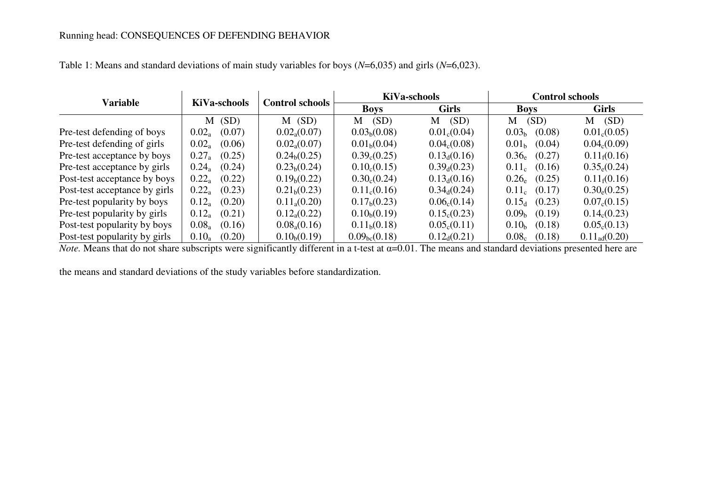| <b>Variable</b>               | <b>KiVa-schools</b> | <b>Control schools</b>   | <b>KiVa-schools</b>       |                          | <b>Control schools</b>      |                          |  |
|-------------------------------|---------------------|--------------------------|---------------------------|--------------------------|-----------------------------|--------------------------|--|
|                               |                     |                          | <b>Boys</b>               | <b>Girls</b>             | <b>Boys</b>                 | <b>Girls</b>             |  |
|                               | (SD)<br>М           | $M$ (SD)                 | (SD)<br>M                 | (SD)<br>M                | (SD)<br>M                   | (SD)<br>M                |  |
| Pre-test defending of boys    | (0.07)<br>$0.02_a$  | $0.02_{\rm a}(0.07)$     | 0.03 <sub>b</sub> (0.08)  | $0.01_c(0.04)$           | 0.03 <sub>b</sub><br>(0.08) | 0.01 <sub>c</sub> (0.05) |  |
| Pre-test defending of girls   | $0.02_a$<br>(0.06)  | $0.02_{\rm a}(0.07)$     | 0.01 <sub>b</sub> (0.04)  | 0.04 <sub>c</sub> (0.08) | (0.04)<br>0.01 <sub>b</sub> | 0.04 <sub>c</sub> (0.09) |  |
| Pre-test acceptance by boys   | $0.27_a$<br>(0.25)  | $0.24_b(0.25)$           | 0.39 <sub>c</sub> (0.25)  | $0.13_d(0.16)$           | $0.36_e$<br>(0.27)          | $0.11_{\rm f}(0.16)$     |  |
| Pre-test acceptance by girls  | (0.24)<br>$0.24_a$  | 0.23 <sub>b</sub> (0.24) | 0.10 <sub>c</sub> (0.15)  | $0.39_d(0.23)$           | $0.11_c$<br>(0.16)          | $0.35_{\rm e} (0.24)$    |  |
| Post-test acceptance by boys  | $0.22_a$<br>(0.22)  | 0.19 <sub>b</sub> (0.22) | 0.30 <sub>c</sub> (0.24)  | $0.13_d(0.16)$           | $0.26_e$<br>(0.25)          | $0.11_{\rm f}(0.16)$     |  |
| Post-test acceptance by girls | (0.23)<br>$0.22_a$  | 0.21 <sub>b</sub> (0.23) | $0.11_c(0.16)$            | $0.34_{\rm d}(0.24)$     | (0.17)<br>$0.11_c$          | $0.30_{\rm e}(0.25)$     |  |
| Pre-test popularity by boys   | (0.20)<br>$0.12_a$  | $0.11_{a}(0.20)$         | 0.17 <sub>b</sub> (0.23)  | 0.06 <sub>c</sub> (0.14) | (0.23)<br>$0.15_d$          | 0.07 <sub>c</sub> (0.15) |  |
| Pre-test popularity by girls  | (0.21)<br>$0.12_a$  | $0.12_{a}(0.22)$         | 0.10 <sub>b</sub> (0.19)  | 0.15 <sub>c</sub> (0.23) | 0.09 <sub>h</sub><br>(0.19) | 0.14 <sub>c</sub> (0.23) |  |
| Post-test popularity by boys  | (0.16)<br>$0.08_a$  | $0.08_{a}(0.16)$         | 0.11 <sub>b</sub> (0.18)  | 0.05 <sub>c</sub> (0.11) | 0.10 <sub>h</sub><br>(0.18) | 0.05 <sub>c</sub> (0.13) |  |
| Post-test popularity by girls | $0.10_a$<br>(0.20)  | 0.10 <sub>b</sub> (0.19) | 0.09 <sub>bc</sub> (0.18) | $0.12_{d}(0.21)$         | $0.08_c$<br>(0.18)          | $0.11_{\text{ad}}(0.20)$ |  |

Table 1: Means and standard deviations of main study variables for boys (*N*=6,035) and girls (*N*=6,023).

*Note*. Means that do not share subscripts were significantly different in a t-test at α=0.01. The means and standard deviations presented here are

the means and standard deviations of the study variables before standardization.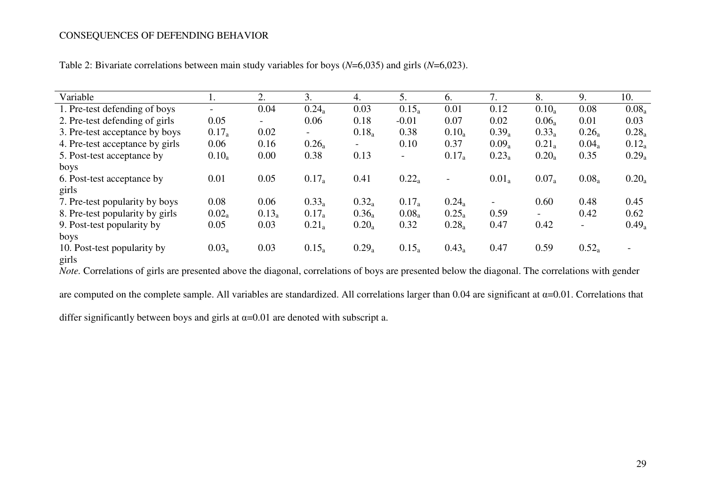| Variable                        | ı.       | 2.                       | 3.                       | 4.                       | 5.                       | 6.                       | 7.                       | 8.                       | 9.                       | 10.      |
|---------------------------------|----------|--------------------------|--------------------------|--------------------------|--------------------------|--------------------------|--------------------------|--------------------------|--------------------------|----------|
| 1. Pre-test defending of boys   |          | 0.04                     | $0.24_a$                 | 0.03                     | $0.15_a$                 | 0.01                     | 0.12                     | $0.10_a$                 | 0.08                     | $0.08_a$ |
| 2. Pre-test defending of girls  | 0.05     | $\overline{\phantom{0}}$ | 0.06                     | 0.18                     | $-0.01$                  | 0.07                     | 0.02                     | $0.06_a$                 | 0.01                     | 0.03     |
| 3. Pre-test acceptance by boys  | $0.17_a$ | 0.02                     | $\overline{\phantom{a}}$ | $0.18_a$                 | 0.38                     | $0.10_a$                 | $0.39_a$                 | $0.33_a$                 | $0.26_a$                 | $0.28_a$ |
| 4. Pre-test acceptance by girls | 0.06     | 0.16                     | $0.26_a$                 | $\overline{\phantom{0}}$ | 0.10                     | 0.37                     | $0.09_a$                 | $0.21_a$                 | $0.04_a$                 | $0.12_a$ |
| 5. Post-test acceptance by      | $0.10_a$ | 0.00                     | 0.38                     | 0.13                     | $\overline{\phantom{a}}$ | $0.17_a$                 | $0.23_a$                 | $0.20_a$                 | 0.35                     | $0.29_a$ |
| boys                            |          |                          |                          |                          |                          |                          |                          |                          |                          |          |
| 6. Post-test acceptance by      | 0.01     | 0.05                     | $0.17_a$                 | 0.41                     | $0.22_a$                 | $\overline{\phantom{a}}$ | $0.01_a$                 | $0.07_a$                 | $0.08_a$                 | $0.20_a$ |
| girls                           |          |                          |                          |                          |                          |                          |                          |                          |                          |          |
| 7. Pre-test popularity by boys  | 0.08     | 0.06                     | $0.33_a$                 | $0.32_a$                 | $0.17_a$                 | $0.24_a$                 | $\overline{\phantom{0}}$ | 0.60                     | 0.48                     | 0.45     |
| 8. Pre-test popularity by girls | $0.02_a$ | $0.13_a$                 | $0.17_a$                 | $0.36_a$                 | $0.08_a$                 | $0.25_a$                 | 0.59                     | $\overline{\phantom{a}}$ | 0.42                     | 0.62     |
| 9. Post-test popularity by      | 0.05     | 0.03                     | $0.21_a$                 | $0.20_a$                 | 0.32                     | $0.28_a$                 | 0.47                     | 0.42                     | $\overline{\phantom{a}}$ | $0.49_a$ |
| boys                            |          |                          |                          |                          |                          |                          |                          |                          |                          |          |
| 10. Post-test popularity by     | $0.03_a$ | 0.03                     | $0.15_a$                 | $0.29_a$                 | $0.15_a$                 | $0.43_a$                 | 0.47                     | 0.59                     | $0.52_a$                 |          |
| girls                           |          |                          |                          |                          |                          |                          |                          |                          |                          |          |

Table 2: Bivariate correlations between main study variables for boys (*N*=6,035) and girls (*N*=6,023).

*Note.* Correlations of girls are presented above the diagonal, correlations of boys are presented below the diagonal. The correlations with gender

are computed on the complete sample. All variables are standardized. All correlations larger than 0.04 are significant at α=0.01. Correlations that

differ significantly between boys and girls at  $\alpha$ =0.01 are denoted with subscript a.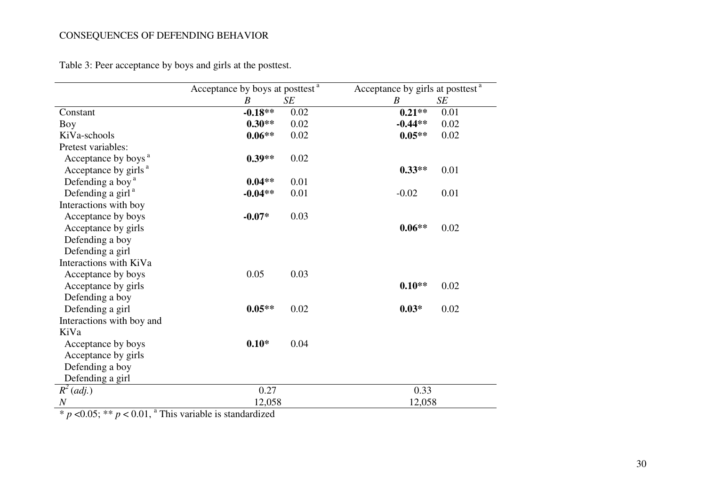Table 3: Peer acceptance by boys and girls at the posttest.

|                                  | Acceptance by boys at posttest <sup>a</sup> |      | Acceptance by girls at posttest <sup>a</sup> |      |  |
|----------------------------------|---------------------------------------------|------|----------------------------------------------|------|--|
|                                  | $\boldsymbol{B}$                            | SE   | $\boldsymbol{B}$                             | SE   |  |
| Constant                         | $-0.18**$                                   | 0.02 | $0.21**$                                     | 0.01 |  |
| Boy                              | $0.30**$                                    | 0.02 | $-0.44**$                                    | 0.02 |  |
| KiVa-schools                     | $0.06**$                                    | 0.02 | $0.05**$                                     | 0.02 |  |
| Pretest variables:               |                                             |      |                                              |      |  |
| Acceptance by boys <sup>a</sup>  | $0.39**$                                    | 0.02 |                                              |      |  |
| Acceptance by girls <sup>a</sup> |                                             |      | $0.33**$                                     | 0.01 |  |
| Defending a boy <sup>a</sup>     | $0.04**$                                    | 0.01 |                                              |      |  |
| Defending a girl <sup>a</sup>    | $-0.04**$                                   | 0.01 | $-0.02$                                      | 0.01 |  |
| Interactions with boy            |                                             |      |                                              |      |  |
| Acceptance by boys               | $-0.07*$                                    | 0.03 |                                              |      |  |
| Acceptance by girls              |                                             |      | $0.06**$                                     | 0.02 |  |
| Defending a boy                  |                                             |      |                                              |      |  |
| Defending a girl                 |                                             |      |                                              |      |  |
| Interactions with KiVa           |                                             |      |                                              |      |  |
| Acceptance by boys               | 0.05                                        | 0.03 |                                              |      |  |
| Acceptance by girls              |                                             |      | $0.10**$                                     | 0.02 |  |
| Defending a boy                  |                                             |      |                                              |      |  |
| Defending a girl                 | $0.05**$                                    | 0.02 | $0.03*$                                      | 0.02 |  |
| Interactions with boy and        |                                             |      |                                              |      |  |
| KiVa                             |                                             |      |                                              |      |  |
| Acceptance by boys               | $0.10*$                                     | 0.04 |                                              |      |  |
| Acceptance by girls              |                                             |      |                                              |      |  |
| Defending a boy                  |                                             |      |                                              |      |  |
| Defending a girl                 |                                             |      |                                              |      |  |
| $R^2$ (adj.)                     | 0.27                                        |      | 0.33                                         |      |  |
| $\boldsymbol{N}$                 | 12,058                                      |      | 12,058                                       |      |  |

\*  $p$  <0.05; \*\*  $p$  < 0.01,  $\alpha$  This variable is standardized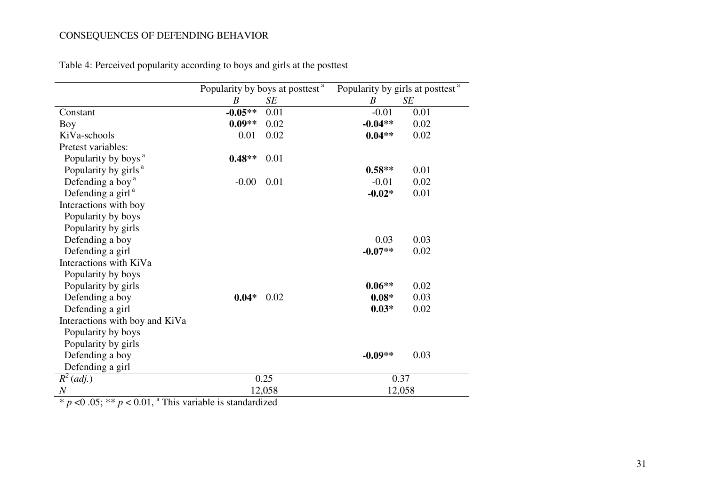|           |      | Popularity by girls at posttest <sup>a</sup>                                                   |           |  |
|-----------|------|------------------------------------------------------------------------------------------------|-----------|--|
| B         | SE   | B                                                                                              | <b>SE</b> |  |
| $-0.05**$ | 0.01 | $-0.01$                                                                                        | 0.01      |  |
| $0.09**$  | 0.02 | $-0.04**$                                                                                      | 0.02      |  |
| 0.01      | 0.02 | $0.04**$                                                                                       | 0.02      |  |
|           |      |                                                                                                |           |  |
| $0.48**$  | 0.01 |                                                                                                |           |  |
|           |      | $0.58**$                                                                                       | 0.01      |  |
| $-0.00$   | 0.01 | $-0.01$                                                                                        | 0.02      |  |
|           |      | $-0.02*$                                                                                       | 0.01      |  |
|           |      |                                                                                                |           |  |
|           |      |                                                                                                |           |  |
|           |      |                                                                                                |           |  |
|           |      | 0.03                                                                                           | 0.03      |  |
|           |      | $-0.07**$                                                                                      | 0.02      |  |
|           |      |                                                                                                |           |  |
|           |      |                                                                                                |           |  |
|           |      | $0.06**$                                                                                       | 0.02      |  |
| $0.04*$   | 0.02 | $0.08*$                                                                                        | 0.03      |  |
|           |      | $0.03*$                                                                                        | 0.02      |  |
|           |      |                                                                                                |           |  |
|           |      |                                                                                                |           |  |
|           |      |                                                                                                |           |  |
|           |      | $-0.09**$                                                                                      | 0.03      |  |
|           |      |                                                                                                |           |  |
|           |      | 0.37                                                                                           |           |  |
| 12,058    |      | 12,058                                                                                         |           |  |
|           |      | Popularity by boys at posttest <sup>a</sup><br>0.25<br>$20.01$ a This model is in the dendered |           |  |

Table 4: Perceived popularity according to boys and girls at the posttest

 $* p < 0.05; ** p < 0.01$ , <sup>a</sup> This variable is standardized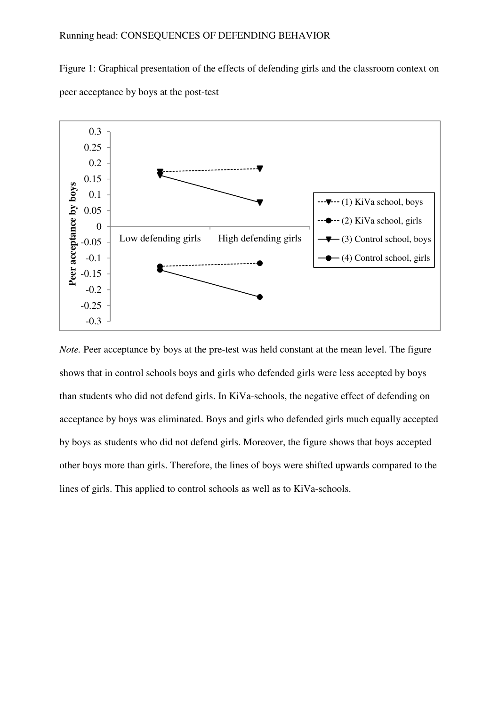# Running head: CONSEQUENCES OF DEFENDING BEHAVIOR

Figure 1: Graphical presentation of the effects of defending girls and the classroom context on peer acceptance by boys at the post-test



*Note.* Peer acceptance by boys at the pre-test was held constant at the mean level. The figure shows that in control schools boys and girls who defended girls were less accepted by boys than students who did not defend girls. In KiVa-schools, the negative effect of defending on acceptance by boys was eliminated. Boys and girls who defended girls much equally accepted by boys as students who did not defend girls. Moreover, the figure shows that boys accepted other boys more than girls. Therefore, the lines of boys were shifted upwards compared to the lines of girls. This applied to control schools as well as to KiVa-schools.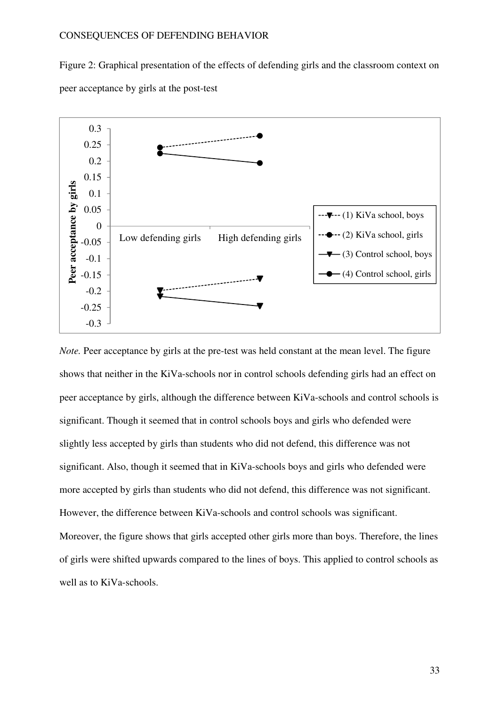Figure 2: Graphical presentation of the effects of defending girls and the classroom context on peer acceptance by girls at the post-test



*Note.* Peer acceptance by girls at the pre-test was held constant at the mean level. The figure shows that neither in the KiVa-schools nor in control schools defending girls had an effect on peer acceptance by girls, although the difference between KiVa-schools and control schools is significant. Though it seemed that in control schools boys and girls who defended were slightly less accepted by girls than students who did not defend, this difference was not significant. Also, though it seemed that in KiVa-schools boys and girls who defended were more accepted by girls than students who did not defend, this difference was not significant. However, the difference between KiVa-schools and control schools was significant. Moreover, the figure shows that girls accepted other girls more than boys. Therefore, the lines of girls were shifted upwards compared to the lines of boys. This applied to control schools as well as to KiVa-schools.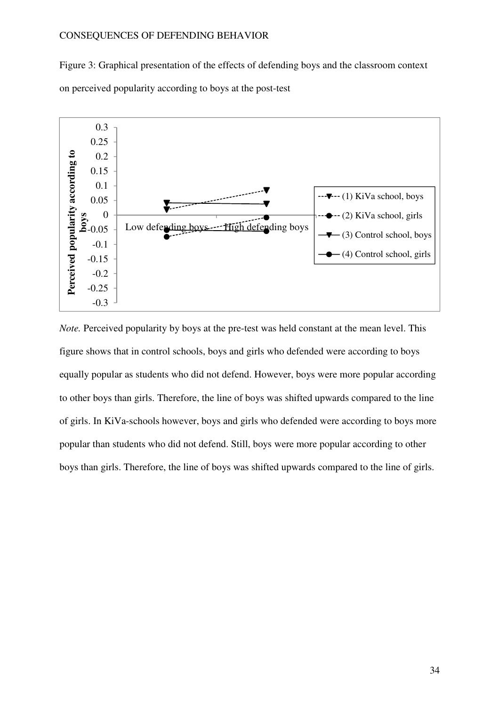Figure 3: Graphical presentation of the effects of defending boys and the classroom context on perceived popularity according to boys at the post-test



*Note.* Perceived popularity by boys at the pre-test was held constant at the mean level. This figure shows that in control schools, boys and girls who defended were according to boys equally popular as students who did not defend. However, boys were more popular according to other boys than girls. Therefore, the line of boys was shifted upwards compared to the line of girls. In KiVa-schools however, boys and girls who defended were according to boys more popular than students who did not defend. Still, boys were more popular according to other boys than girls. Therefore, the line of boys was shifted upwards compared to the line of girls.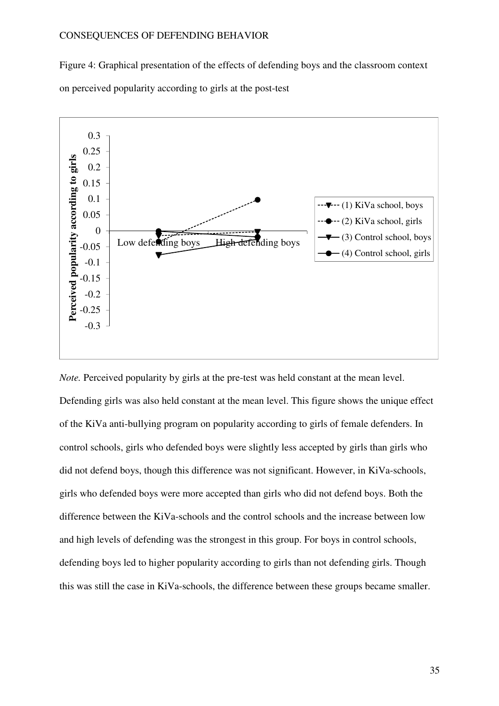Figure 4: Graphical presentation of the effects of defending boys and the classroom context on perceived popularity according to girls at the post-test



*Note.* Perceived popularity by girls at the pre-test was held constant at the mean level. Defending girls was also held constant at the mean level. This figure shows the unique effect of the KiVa anti-bullying program on popularity according to girls of female defenders. In control schools, girls who defended boys were slightly less accepted by girls than girls who did not defend boys, though this difference was not significant. However, in KiVa-schools, girls who defended boys were more accepted than girls who did not defend boys. Both the difference between the KiVa-schools and the control schools and the increase between low and high levels of defending was the strongest in this group. For boys in control schools, defending boys led to higher popularity according to girls than not defending girls. Though this was still the case in KiVa-schools, the difference between these groups became smaller.